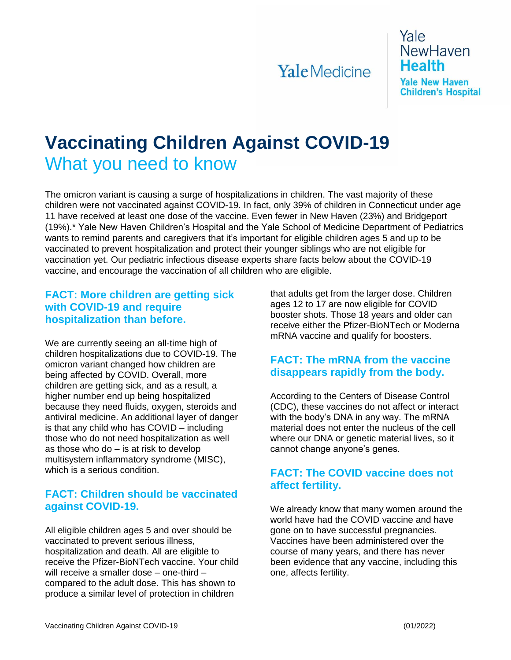# **Yale** Medicine

Yale **NewHaven Health Yale New Haven Children's Hospital** 

# **Vaccinating Children Against COVID-19** What you need to know

The omicron variant is causing a surge of hospitalizations in children. The vast majority of these children were not vaccinated against COVID-19. In fact, only 39% of children in Connecticut under age 11 have received at least one dose of the vaccine. Even fewer in New Haven (23%) and Bridgeport (19%).\* Yale New Haven Children's Hospital and the Yale School of Medicine Department of Pediatrics wants to remind parents and caregivers that it's important for eligible children ages 5 and up to be vaccinated to prevent hospitalization and protect their younger siblings who are not eligible for vaccination yet. Our pediatric infectious disease experts share facts below about the COVID-19 vaccine, and encourage the vaccination of all children who are eligible.

#### **FACT: More children are getting sick with COVID-19 and require hospitalization than before.**

We are currently seeing an all-time high of children hospitalizations due to COVID-19. The omicron variant changed how children are being affected by COVID. Overall, more children are getting sick, and as a result, a higher number end up being hospitalized because they need fluids, oxygen, steroids and antiviral medicine. An additional layer of danger is that any child who has COVID – including those who do not need hospitalization as well as those who do – is at risk to develop multisystem inflammatory syndrome (MISC), which is a serious condition.

#### **FACT: Children should be vaccinated against COVID-19.**

All eligible children ages 5 and over should be vaccinated to prevent serious illness, hospitalization and death. All are eligible to receive the Pfizer-BioNTech vaccine. Your child will receive a smaller dose – one-third – compared to the adult dose. This has shown to produce a similar level of protection in children

that adults get from the larger dose. Children ages 12 to 17 are now eligible for COVID booster shots. Those 18 years and older can receive either the Pfizer-BioNTech or Moderna mRNA vaccine and qualify for boosters.

#### **FACT: The mRNA from the vaccine disappears rapidly from the body.**

According to the Centers of Disease Control (CDC), these vaccines do not affect or interact with the body's DNA in any way. The mRNA material does not enter the nucleus of the cell where our DNA or genetic material lives, so it cannot change anyone's genes.

# **FACT: The COVID vaccine does not affect fertility.**

We already know that many women around the world have had the COVID vaccine and have gone on to have successful pregnancies. Vaccines have been administered over the course of many years, and there has never been evidence that any vaccine, including this one, affects fertility.